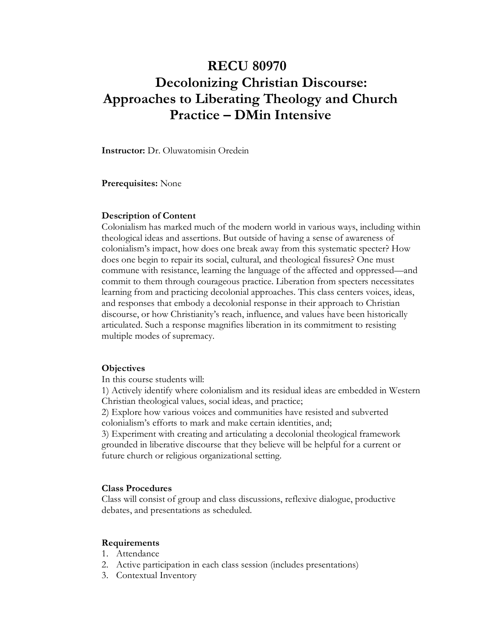# **RECU 80970 Decolonizing Christian Discourse: Approaches to Liberating Theology and Church Practice – DMin Intensive**

**Instructor:** Dr. Oluwatomisin Oredein

**Prerequisites:** None

#### **Description of Content**

Colonialism has marked much of the modern world in various ways, including within theological ideas and assertions. But outside of having a sense of awareness of colonialism's impact, how does one break away from this systematic specter? How does one begin to repair its social, cultural, and theological fissures? One must commune with resistance, learning the language of the affected and oppressed—and commit to them through courageous practice. Liberation from specters necessitates learning from and practicing decolonial approaches. This class centers voices, ideas, and responses that embody a decolonial response in their approach to Christian discourse, or how Christianity's reach, influence, and values have been historically articulated. Such a response magnifies liberation in its commitment to resisting multiple modes of supremacy.

#### **Objectives**

In this course students will:

1) Actively identify where colonialism and its residual ideas are embedded in Western Christian theological values, social ideas, and practice;

2) Explore how various voices and communities have resisted and subverted colonialism's efforts to mark and make certain identities, and;

3) Experiment with creating and articulating a decolonial theological framework grounded in liberative discourse that they believe will be helpful for a current or future church or religious organizational setting.

#### **Class Procedures**

Class will consist of group and class discussions, reflexive dialogue, productive debates, and presentations as scheduled.

### **Requirements**

- 1. Attendance
- 2. Active participation in each class session (includes presentations)
- 3. Contextual Inventory